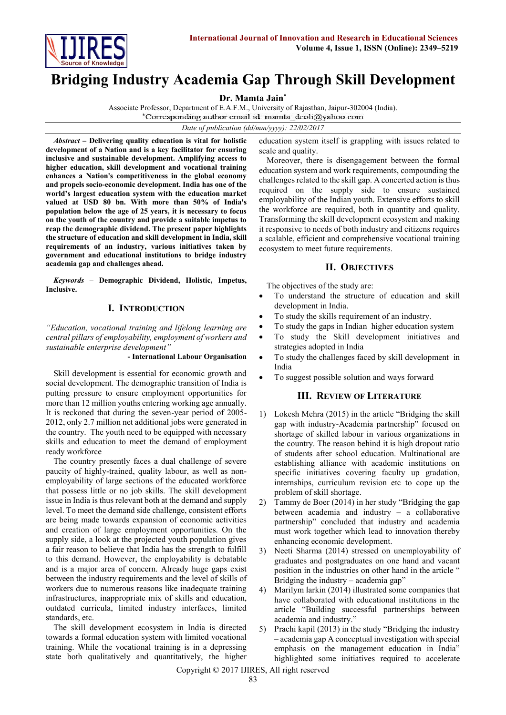

# **Bridging Industry Academia Gap Through Skill Development**

**Dr. Mamta Jain\***

Associate Professor, Department of E.A.F.M., University of Rajasthan, Jaipur-302004 (India).<br>\*Corresponding author email id: mamta\_deoli@yahoo.com

*Date of publication (dd/mm/yyyy): 22/02/2017*

*Abstract* **– Delivering quality education is vital for holistic development of a Nation and is a key facilitator for ensuring inclusive and sustainable development. Amplifying access to higher education, skill development and vocational training enhances a Nation's competitiveness in the global economy and propels socio-economic development. India has one of the world's largest education system with the education market valued at USD 80 bn. With more than 50% of India's population below the age of 25 years, it is necessary to focus on the youth of the country and provide a suitable impetus to reap the demographic dividend. The present paper highlights the structure of education and skill development in India, skill requirements of an industry, various initiatives taken by government and educational institutions to bridge industry academia gap and challenges ahead.**

*Keywords* **– Demographic Dividend, Holistic, Impetus, Inclusive.**

## **I. INTRODUCTION**

*"Education, vocational training and lifelong learning are central pillars of employability, employment of workers and sustainable enterprise development"* 

**- International Labour Organisation** 

Skill development is essential for economic growth and social development. The demographic transition of India is putting pressure to ensure employment opportunities for more than 12 million youths entering working age annually. It is reckoned that during the seven-year period of 2005- 2012, only 2.7 million net additional jobs were generated in the country. The youth need to be equipped with necessary skills and education to meet the demand of employment ready workforce

The country presently faces a dual challenge of severe paucity of highly-trained, quality labour, as well as nonemployability of large sections of the educated workforce that possess little or no job skills. The skill development issue in India is thus relevant both at the demand and supply level. To meet the demand side challenge, consistent efforts are being made towards expansion of economic activities and creation of large employment opportunities. On the supply side, a look at the projected youth population gives a fair reason to believe that India has the strength to fulfill to this demand. However, the employability is debatable and is a major area of concern. Already huge gaps exist between the industry requirements and the level of skills of workers due to numerous reasons like inadequate training infrastructures, inappropriate mix of skills and education, outdated curricula, limited industry interfaces, limited standards, etc.

The skill development ecosystem in India is directed towards a formal education system with limited vocational training. While the vocational training is in a depressing state both qualitatively and quantitatively, the higher

education system itself is grappling with issues related to scale and quality.

Moreover, there is disengagement between the formal education system and work requirements, compounding the challenges related to the skill gap. A concerted action is thus required on the supply side to ensure sustained employability of the Indian youth. Extensive efforts to skill the workforce are required, both in quantity and quality. Transforming the skill development ecosystem and making it responsive to needs of both industry and citizens requires a scalable, efficient and comprehensive vocational training ecosystem to meet future requirements.

# **II. OBJECTIVES**

The objectives of the study are:

- To understand the structure of education and skill development in India.
- To study the skills requirement of an industry.
- To study the gaps in Indian higher education system
- To study the Skill development initiatives and strategies adopted in India
- To study the challenges faced by skill development in India
- To suggest possible solution and ways forward

# **III. REVIEW OF LITERATURE**

- 1) Lokesh Mehra (2015) in the article "Bridging the skill gap with industry-Academia partnership" focused on shortage of skilled labour in various organizations in the country. The reason behind it is high dropout ratio of students after school education. Multinational are establishing alliance with academic institutions on specific initiatives covering faculty up gradation, internships, curriculum revision etc to cope up the problem of skill shortage.
- 2) Tammy de Boer (2014) in her study "Bridging the gap between academia and industry – a collaborative partnership" concluded that industry and academia must work together which lead to innovation thereby enhancing economic development.
- 3) Neeti Sharma (2014) stressed on unemployability of graduates and postgraduates on one hand and vacant position in the industries on other hand in the article " Bridging the industry – academia gap"
- 4) Marilym larkin (2014) illustrated some companies that have collaborated with educational institutions in the article "Building successful partnerships between academia and industry."
- 5) Prachi kapil (2013) in the study "Bridging the industry – academia gap A conceptual investigation with special emphasis on the management education in India" highlighted some initiatives required to accelerate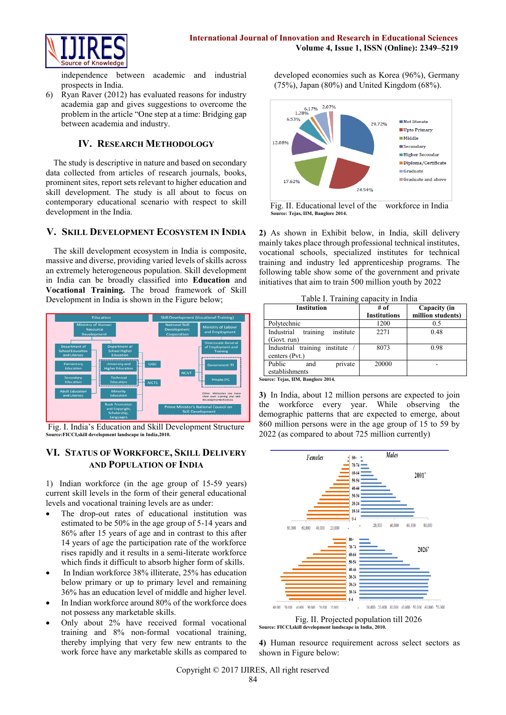

independence between academic and industrial prospects in India.

6) Ryan Raver (2012) has evaluated reasons for industry academia gap and gives suggestions to overcome the problem in the article "One step at a time: Bridging gap between academia and industry.

# **IV. RESEARCH METHODOLOGY**

The study is descriptive in nature and based on secondary data collected from articles of research journals, books, prominent sites, report sets relevant to higher education and skill development. The study is all about to focus on contemporary educational scenario with respect to skill development in the India.

## **V. SKILL DEVELOPMENT ECOSYSTEM IN INDIA**

The skill development ecosystem in India is composite, massive and diverse, providing varied levels of skills across an extremely heterogeneous population. Skill development in India can be broadly classified into **Education** and **Vocational Training.** The broad framework of Skill Development in India is shown in the Figure below;



Fig. I. India's Education and Skill Development Structure **Source:FICCI,skill development landscape in India,2010.**

# **VI. STATUS OF WORKFORCE, SKILL DELIVERY AND POPULATION OF INDIA**

1) Indian workforce (in the age group of 15-59 years) current skill levels in the form of their general educational levels and vocational training levels are as under:

- The drop-out rates of educational institution was estimated to be 50% in the age group of 5-14 years and 86% after 15 years of age and in contrast to this after 14 years of age the participation rate of the workforce rises rapidly and it results in a semi-literate workforce which finds it difficult to absorb higher form of skills.
- In Indian workforce 38% illiterate, 25% has education below primary or up to primary level and remaining 36% has an education level of middle and higher level.
- In Indian workforce around 80% of the workforce does not possess any marketable skills.
- Only about 2% have received formal vocational training and 8% non-formal vocational training, thereby implying that very few new entrants to the work force have any marketable skills as compared to

developed economies such as Korea (96%), Germany (75%), Japan (80%) and United Kingdom (68%).



Fig. II. Educational level of the workforce in India  **Source: Tejas, IIM, Banglore 2014.**

**2)** As shown in Exhibit below, in India, skill delivery mainly takes place through professional technical institutes, vocational schools, specialized institutes for technical training and industry led apprenticeship programs. The following table show some of the government and private initiatives that aim to train 500 million youth by 2022

| Table I. Training capacity in India |      |            |
|-------------------------------------|------|------------|
| Institution                         | # of | <b>Cap</b> |

| <b>Institution</b>                  | # of                | Capacity (in      |
|-------------------------------------|---------------------|-------------------|
|                                     | <b>Institutions</b> | million students) |
| Polytechnic                         | 1200                | 0.5               |
| training<br>institute<br>Industrial | 2271                | 0.48              |
| (Govt. run)                         |                     |                   |
| Industrial training<br>institute    | 8073                | 0.98              |
| centers (Pvt.)                      |                     |                   |
| Public<br>private<br>and            | 20000               |                   |
| establishments                      |                     |                   |

**Source: Tejas, IIM, Banglore 2014.**

**3)** In India, about 12 million persons are expected to join the workforce every year. While observing the demographic patterns that are expected to emerge, about 860 million persons were in the age group of 15 to 59 by 2022 (as compared to about 725 million currently)



Fig. II. Projected population till 2026 **Source: FICCI,skill development landscape in India, 2010.**

**4)** Human resource requirement across select sectors as shown in Figure below:

Copyright © 2017 IJIRES, All right reserved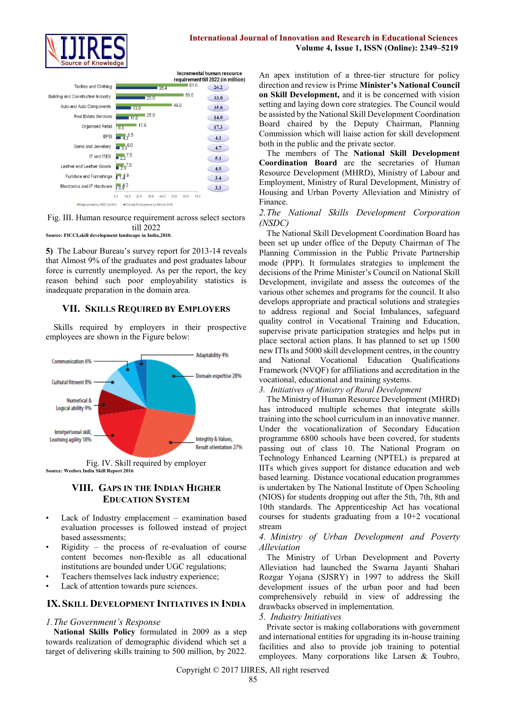

| <b>Textiles and Clothing</b>       |              | 35.4 | 61.6 | 26.2 |
|------------------------------------|--------------|------|------|------|
| Building and Construction Industry | 25.0         |      | 58.0 | 33.0 |
| Auto and Auto Components           | 13.0         | 48.0 |      | 35.0 |
| <b>Real Estate Services</b>        | 25.0<br>11.0 |      |      | 14.0 |
| Organised Retail<br>0.3            | 17.6         |      |      | 17.3 |
| <b>BFSI</b>                        | $4.3^{8.5}$  |      |      | 4.3  |
| Gems and Jewellery                 | $33^{8.0}$   |      |      | 4.7  |
| IT and ITES                        | $2.2^{7.5}$  |      |      | 5.3  |
| Leather and Leather Goods          | $2.5^{7.0}$  |      |      | 4.5  |
| Furniture and Furnishings          | $14^{.8}$    |      |      | 3.4  |
| Electronics and IT Hardware        | 10.92        |      |      | 3.3  |

Fig. III. Human resource requirement across select sectors till 2022 **Source: FICCI,skill development landscape in India,2010.**

**5)** The Labour Bureau's survey report for 2013-14 reveals that Almost 9% of the graduates and post graduates labour force is currently unemployed. As per the report, the key reason behind such poor employability statistics is inadequate preparation in the domain area.

## **VII. SKILLS REQUIRED BY EMPLOYERS**

Skills required by employers in their prospective employees are shown in the Figure below:





# **VIII. GAPS IN THE INDIAN HIGHER EDUCATION SYSTEM**

- Lack of Industry emplacement examination based evaluation processes is followed instead of project based assessments;
- $Right$  the process of re-evaluation of course content becomes non-flexible as all educational institutions are bounded under UGC regulations;
- Teachers themselves lack industry experience;
- Lack of attention towards pure sciences.

## **IX. SKILL DEVELOPMENT INITIATIVES IN INDIA**

#### *1.The Government's Response*

**National Skills Policy** formulated in 2009 as a step towards realization of demographic dividend which set a target of delivering skills training to 500 million, by 2022.

An apex institution of a three-tier structure for policy direction and review is Prime **Minister's National Council on Skill Development,** and it is be concerned with vision setting and laying down core strategies. The Council would be assisted by the National Skill Development Coordination Board chaired by the Deputy Chairman, Planning Commission which will liaise action for skill development both in the public and the private sector.

The members of The **National Skill Development Coordination Board** are the secretaries of Human Resource Development (MHRD), Ministry of Labour and Employment, Ministry of Rural Development, Ministry of Housing and Urban Poverty Alleviation and Ministry of Finance.

#### *2.The National Skills Development Corporation (NSDC)*

The National Skill Development Coordination Board has been set up under office of the Deputy Chairman of The Planning Commission in the Public Private Partnership mode (PPP). It formulates strategies to implement the decisions of the Prime Minister's Council on National Skill Development, invigilate and assess the outcomes of the various other schemes and programs for the council. It also develops appropriate and practical solutions and strategies to address regional and Social Imbalances, safeguard quality control in Vocational Training and Education, supervise private participation strategies and helps put in place sectoral action plans. It has planned to set up 1500 new ITIs and 5000 skill development centres, in the country and National Vocational Education Qualifications Framework (NVQF) for affiliations and accreditation in the vocational, educational and training systems.

*3. Initiatives of Ministry of Rural Development* 

The Ministry of Human Resource Development (MHRD) has introduced multiple schemes that integrate skills training into the school curriculum in an innovative manner. Under the vocationalization of Secondary Education programme 6800 schools have been covered, for students passing out of class 10. The National Program on Technology Enhanced Learning (NPTEL) is prepared at IITs which gives support for distance education and web based learning. Distance vocational education programmes is undertaken by The National Institute of Open Schooling (NIOS) for students dropping out after the 5th, 7th, 8th and 10th standards. The Apprenticeship Act has vocational courses for students graduating from a 10+2 vocational stream

#### *4. Ministry of Urban Development and Poverty Alleviation*

The Ministry of Urban Development and Poverty Alleviation had launched the Swarna Jayanti Shahari Rozgar Yojana (SJSRY) in 1997 to address the Skill development issues of the urban poor and had been comprehensively rebuild in view of addressing the drawbacks observed in implementation.

#### *5. Industry Initiatives*

Private sector is making collaborations with government and international entities for upgrading its in-house training facilities and also to provide job training to potential employees. Many corporations like Larsen & Toubro,

Copyright © 2017 IJIRES, All right reserved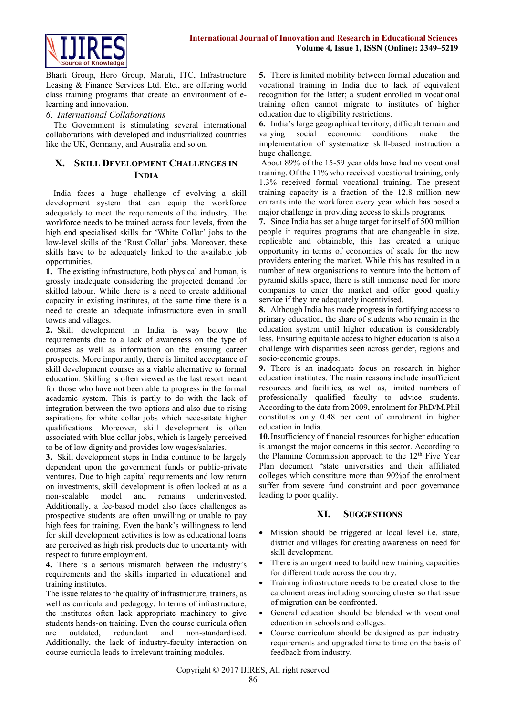

Bharti Group, Hero Group, Maruti, ITC, Infrastructure Leasing & Finance Services Ltd. Etc., are offering world class training programs that create an environment of elearning and innovation.

#### *6. International Collaborations*

The Government is stimulating several international collaborations with developed and industrialized countries like the UK, Germany, and Australia and so on.

## **X. SKILL DEVELOPMENT CHALLENGES IN INDIA**

India faces a huge challenge of evolving a skill development system that can equip the workforce adequately to meet the requirements of the industry. The workforce needs to be trained across four levels, from the high end specialised skills for 'White Collar' jobs to the low-level skills of the 'Rust Collar' jobs. Moreover, these skills have to be adequately linked to the available job opportunities.

**1.** The existing infrastructure, both physical and human, is grossly inadequate considering the projected demand for skilled labour. While there is a need to create additional capacity in existing institutes, at the same time there is a need to create an adequate infrastructure even in small towns and villages.

**2.** Skill development in India is way below the requirements due to a lack of awareness on the type of courses as well as information on the ensuing career prospects. More importantly, there is limited acceptance of skill development courses as a viable alternative to formal education. Skilling is often viewed as the last resort meant for those who have not been able to progress in the formal academic system. This is partly to do with the lack of integration between the two options and also due to rising aspirations for white collar jobs which necessitate higher qualifications. Moreover, skill development is often associated with blue collar jobs, which is largely perceived to be of low dignity and provides low wages/salaries.

**3.** Skill development steps in India continue to be largely dependent upon the government funds or public-private ventures. Due to high capital requirements and low return on investments, skill development is often looked at as a non-scalable model and remains underinvested. Additionally, a fee-based model also faces challenges as prospective students are often unwilling or unable to pay high fees for training. Even the bank's willingness to lend for skill development activities is low as educational loans are perceived as high risk products due to uncertainty with respect to future employment.

**4.** There is a serious mismatch between the industry's requirements and the skills imparted in educational and training institutes.

The issue relates to the quality of infrastructure, trainers, as well as curricula and pedagogy. In terms of infrastructure, the institutes often lack appropriate machinery to give students hands-on training. Even the course curricula often are outdated, redundant and non-standardised. Additionally, the lack of industry-faculty interaction on course curricula leads to irrelevant training modules.

**5.** There is limited mobility between formal education and vocational training in India due to lack of equivalent recognition for the latter; a student enrolled in vocational training often cannot migrate to institutes of higher education due to eligibility restrictions.

**6.** India's large geographical territory, difficult terrain and varying social economic conditions make the implementation of systematize skill-based instruction a huge challenge.

About 89% of the 15-59 year olds have had no vocational training. Of the 11% who received vocational training, only 1.3% received formal vocational training. The present training capacity is a fraction of the 12.8 million new entrants into the workforce every year which has posed a major challenge in providing access to skills programs.

**7.** Since India has set a huge target for itself of 500 million people it requires programs that are changeable in size, replicable and obtainable, this has created a unique opportunity in terms of economies of scale for the new providers entering the market. While this has resulted in a number of new organisations to venture into the bottom of pyramid skills space, there is still immense need for more companies to enter the market and offer good quality service if they are adequately incentivised.

**8.** Although India has made progress in fortifying access to primary education, the share of students who remain in the education system until higher education is considerably less. Ensuring equitable access to higher education is also a challenge with disparities seen across gender, regions and socio-economic groups.

**9.** There is an inadequate focus on research in higher education institutes. The main reasons include insufficient resources and facilities, as well as, limited numbers of professionally qualified faculty to advice students. According to the data from 2009, enrolment for PhD/M.Phil constitutes only 0.48 per cent of enrolment in higher education in India.

**10.**Insufficiency of financial resources for higher education is amongst the major concerns in this sector. According to the Planning Commission approach to the 12<sup>th</sup> Five Year Plan document "state universities and their affiliated colleges which constitute more than 90%of the enrolment suffer from severe fund constraint and poor governance leading to poor quality.

## **XI. SUGGESTIONS**

- Mission should be triggered at local level i.e. state, district and villages for creating awareness on need for skill development.
- There is an urgent need to build new training capacities for different trade across the country.
- Training infrastructure needs to be created close to the catchment areas including sourcing cluster so that issue of migration can be confronted.
- General education should be blended with vocational education in schools and colleges.
- Course curriculum should be designed as per industry requirements and upgraded time to time on the basis of feedback from industry.